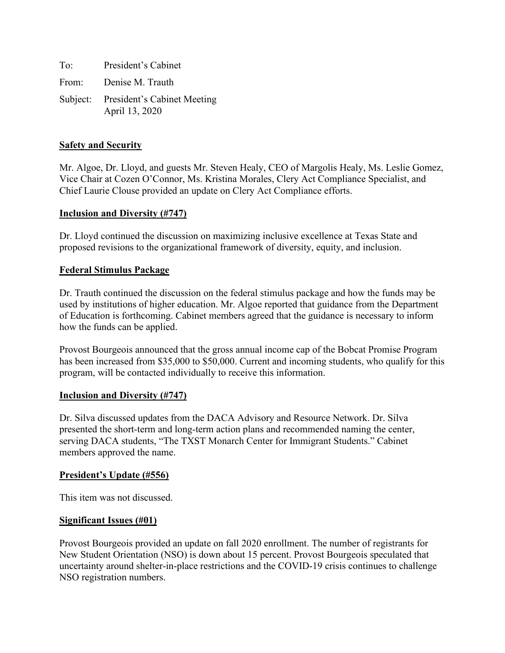To: President's Cabinet From: Denise M. Trauth Subject: President's Cabinet Meeting April 13, 2020

### **Safety and Security**

Mr. Algoe, Dr. Lloyd, and guests Mr. Steven Healy, CEO of Margolis Healy, Ms. Leslie Gomez, Vice Chair at Cozen O'Connor, Ms. Kristina Morales, Clery Act Compliance Specialist, and Chief Laurie Clouse provided an update on Clery Act Compliance efforts.

## **Inclusion and Diversity (#747)**

Dr. Lloyd continued the discussion on maximizing inclusive excellence at Texas State and proposed revisions to the organizational framework of diversity, equity, and inclusion.

## **Federal Stimulus Package**

Dr. Trauth continued the discussion on the federal stimulus package and how the funds may be used by institutions of higher education. Mr. Algoe reported that guidance from the Department of Education is forthcoming. Cabinet members agreed that the guidance is necessary to inform how the funds can be applied.

Provost Bourgeois announced that the gross annual income cap of the Bobcat Promise Program has been increased from \$35,000 to \$50,000. Current and incoming students, who qualify for this program, will be contacted individually to receive this information.

#### **Inclusion and Diversity (#747)**

Dr. Silva discussed updates from the DACA Advisory and Resource Network. Dr. Silva presented the short-term and long-term action plans and recommended naming the center, serving DACA students, "The TXST Monarch Center for Immigrant Students." Cabinet members approved the name.

#### **President's Update (#556)**

This item was not discussed.

#### **Significant Issues (#01)**

Provost Bourgeois provided an update on fall 2020 enrollment. The number of registrants for New Student Orientation (NSO) is down about 15 percent. Provost Bourgeois speculated that uncertainty around shelter-in-place restrictions and the COVID-19 crisis continues to challenge NSO registration numbers.